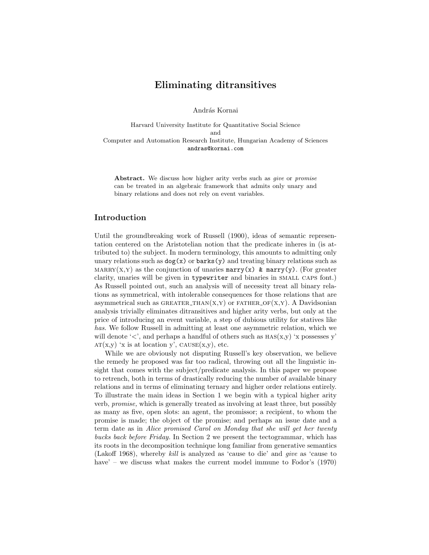# Eliminating ditransitives

András Kornai

Harvard University Institute for Quantitative Social Science and Computer and Automation Research Institute, Hungarian Academy of Sciences andras@kornai.com

Abstract. We discuss how higher arity verbs such as *give* or *promise* can be treated in an algebraic framework that admits only unary and binary relations and does not rely on event variables.

# Introduction

Until the groundbreaking work of Russell (1900), ideas of semantic representation centered on the Aristotelian notion that the predicate inheres in (is attributed to) the subject. In modern terminology, this amounts to admitting only unary relations such as  $\log(x)$  or barks(y) and treating binary relations such as  $MARRY(X,Y)$  as the conjunction of unaries marry(x) & marry(y). (For greater clarity, unaries will be given in typewriter and binaries in small caps font.) As Russell pointed out, such an analysis will of necessity treat all binary relations as symmetrical, with intolerable consequences for those relations that are asymmetrical such as GREATER\_THAN(X,Y) or FATHER\_OF(X,Y). A Davidsonian analysis trivially eliminates ditransitives and higher arity verbs, but only at the price of introducing an event variable, a step of dubious utility for statives like has. We follow Russell in admitting at least one asymmetric relation, which we will denote ' $\lt$ ', and perhaps a handful of others such as  $HAS(x,y)$  'x possesses y'  $AT(x,y)$  'x is at location y', CAUSE $(x,y)$ , etc.

While we are obviously not disputing Russell's key observation, we believe the remedy he proposed was far too radical, throwing out all the linguistic insight that comes with the subject/predicate analysis. In this paper we propose to retrench, both in terms of drastically reducing the number of available binary relations and in terms of eliminating ternary and higher order relations entirely. To illustrate the main ideas in Section 1 we begin with a typical higher arity verb, promise, which is generally treated as involving at least three, but possibly as many as five, open slots: an agent, the promissor; a recipient, to whom the promise is made; the object of the promise; and perhaps an issue date and a term date as in Alice promised Carol on Monday that she will get her twenty bucks back before Friday. In Section 2 we present the tectogrammar, which has its roots in the decomposition technique long familiar from generative semantics (Lakoff 1968), whereby kill is analyzed as 'cause to die' and give as 'cause to have' – we discuss what makes the current model immune to Fodor's (1970)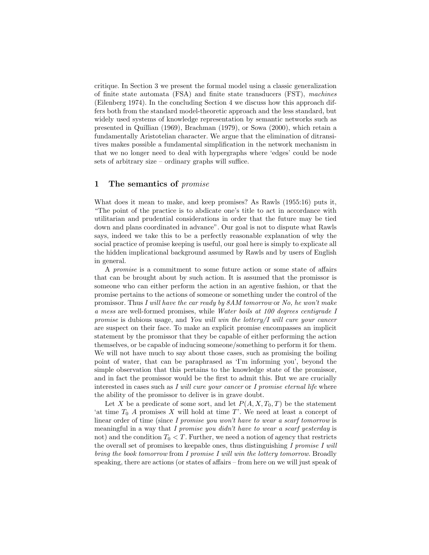critique. In Section 3 we present the formal model using a classic generalization of finite state automata (FSA) and finite state transducers (FST), machines (Eilenberg 1974). In the concluding Section 4 we discuss how this approach differs both from the standard model-theoretic approach and the less standard, but widely used systems of knowledge representation by semantic networks such as presented in Quillian (1969), Brachman (1979), or Sowa (2000), which retain a fundamentally Aristotelian character. We argue that the elimination of ditransitives makes possible a fundamental simplification in the network mechanism in that we no longer need to deal with hypergraphs where 'edges' could be node sets of arbitrary size – ordinary graphs will suffice.

# 1 The semantics of promise

What does it mean to make, and keep promises? As Rawls (1955:16) puts it, "The point of the practice is to abdicate one's title to act in accordance with utilitarian and prudential considerations in order that the future may be tied down and plans coordinated in advance". Our goal is not to dispute what Rawls says, indeed we take this to be a perfectly reasonable explanation of why the social practice of promise keeping is useful, our goal here is simply to explicate all the hidden implicational background assumed by Rawls and by users of English in general.

A promise is a commitment to some future action or some state of affairs that can be brought about by such action. It is assumed that the promissor is someone who can either perform the action in an agentive fashion, or that the promise pertains to the actions of someone or something under the control of the promissor. Thus I will have the car ready by 8AM tomorrow or No, he won't make a mess are well-formed promises, while Water boils at 100 degrees centigrade I promise is dubious usage, and You will win the lottery/I will cure your cancer are suspect on their face. To make an explicit promise encompasses an implicit statement by the promissor that they be capable of either performing the action themselves, or be capable of inducing someone/something to perform it for them. We will not have much to say about those cases, such as promising the boiling point of water, that can be paraphrased as 'I'm informing you', beyond the simple observation that this pertains to the knowledge state of the promissor, and in fact the promissor would be the first to admit this. But we are crucially interested in cases such as I will cure your cancer or I promise eternal life where the ability of the promissor to deliver is in grave doubt.

Let X be a predicate of some sort, and let  $P(A, X, T_0, T)$  be the statement 'at time  $T_0$  A promises X will hold at time T'. We need at least a concept of linear order of time (since I promise you won't have to wear a scarf tomorrow is meaningful in a way that I promise you didn't have to wear a scarf yesterday is not) and the condition  $T_0 < T$ . Further, we need a notion of agency that restricts the overall set of promises to keepable ones, thus distinguishing I promise I will bring the book tomorrow from I promise I will win the lottery tomorrow. Broadly speaking, there are actions (or states of affairs – from here on we will just speak of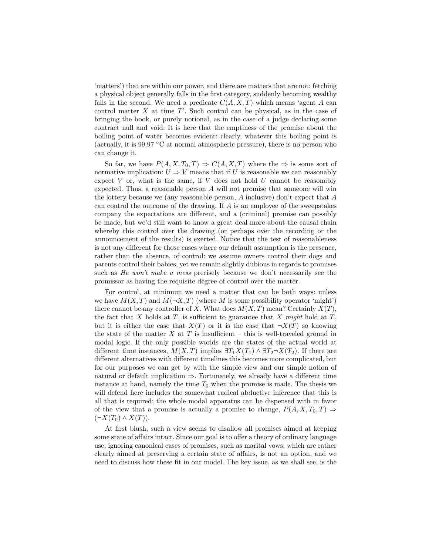'matters') that are within our power, and there are matters that are not: fetching a physical object generally falls in the first category, suddenly becoming wealthy falls in the second. We need a predicate  $C(A, X, T)$  which means 'agent A can control matter  $X$  at time  $T'$ . Such control can be physical, as in the case of bringing the book, or purely notional, as in the case of a judge declaring some contract null and void. It is here that the emptiness of the promise about the boiling point of water becomes evident: clearly, whatever this boiling point is (actually, it is 99.97  $\degree$ C at normal atmospheric pressure), there is no person who can change it.

So far, we have  $P(A, X, T_0, T) \Rightarrow C(A, X, T)$  where the  $\Rightarrow$  is some sort of normative implication:  $U \Rightarrow V$  means that if U is reasonable we can reasonably expect  $V$  or, what is the same, if  $V$  does not hold  $U$  cannot be reasonably expected. Thus, a reasonable person A will not promise that someone will win the lottery because we (any reasonable person, A inclusive) don't expect that A can control the outcome of the drawing. If A is an employee of the sweepstakes company the expectations are different, and a (criminal) promise can possibly be made, but we'd still want to know a great deal more about the causal chain whereby this control over the drawing (or perhaps over the recording or the announcement of the results) is exerted. Notice that the test of reasonableness is not any different for those cases where our default assumption is the presence, rather than the absence, of control: we assume owners control their dogs and parents control their babies, yet we remain slightly dubious in regards to promises such as He won't make a mess precisely because we don't necessarily see the promissor as having the requisite degree of control over the matter.

For control, at minimum we need a matter that can be both ways: unless we have  $M(X,T)$  and  $M(\neg X,T)$  (where M is some possibility operator 'might') there cannot be any controller of X. What does  $M(X,T)$  mean? Certainly  $X(T)$ , the fact that X holds at T, is sufficient to guarantee that X might hold at  $T$ , but it is either the case that  $X(T)$  or it is the case that  $\neg X(T)$  so knowing the state of the matter  $X$  at  $T$  is insufficient – this is well-traveled ground in modal logic. If the only possible worlds are the states of the actual world at different time instances,  $M(X,T)$  implies  $\exists T_1X(T_1) \wedge \exists T_2 \neg X(T_2)$ . If there are different alternatives with different timelines this becomes more complicated, but for our purposes we can get by with the simple view and our simple notion of natural or default implication ⇒. Fortunately, we already have a different time instance at hand, namely the time  $T_0$  when the promise is made. The thesis we will defend here includes the somewhat radical abductive inference that this is all that is required: the whole modal apparatus can be dispensed with in favor of the view that a promise is actually a promise to change,  $P(A, X, T_0, T) \Rightarrow$  $(\neg X(T_0) \wedge X(T)).$ 

At first blush, such a view seems to disallow all promises aimed at keeping some state of affairs intact. Since our goal is to offer a theory of ordinary language use, ignoring canonical cases of promises, such as marital vows, which are rather clearly aimed at preserving a certain state of affairs, is not an option, and we need to discuss how these fit in our model. The key issue, as we shall see, is the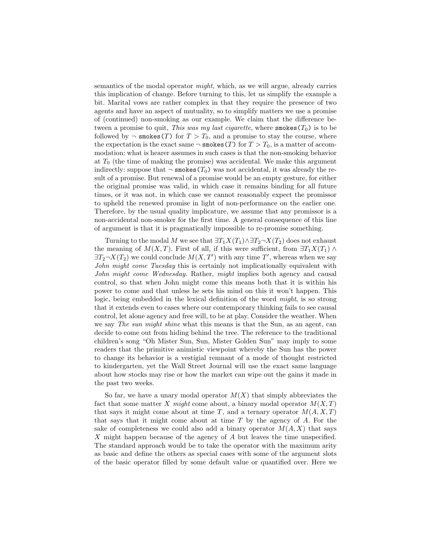semantics of the modal operator might, which, as we will argue, already carries this implication of change. Before turning to this, let us simplify the example a bit. Marital vows are rather complex in that they require the presence of two agents and have an aspect of mutuality, so to simplify matters we use a promise of (continued) non-smoking as our example. We claim that the difference between a promise to quit, This was my last cigarette, where  $smokes(T_0)$  is to be followed by  $\neg$  smokes (T) for  $T > T_0$ , and a promise to stay the course, where the expectation is the exact same  $\neg$  smokes  $(T)$  for  $T > T_0$ , is a matter of accommodation: what is hearer assumes in such cases is that the non-smoking behavior at  $T_0$  (the time of making the promise) was accidental. We make this argument indirectly: suppose that  $\neg$  smokes  $(T_0)$  was not accidental, it was already the result of a promise. But renewal of a promise would be an empty gesture, for either the original promise was valid, in which case it remains binding for all future times, or it was not, in which case we cannot reasonably expect the promissor to upheld the renewed promise in light of non-performance on the earlier one. Therefore, by the usual quality implicature, we assume that any promissor is a non-accidental non-smoker for the first time. A general consequence of this line of argument is that it is pragmatically impossible to re-promise something.

Turning to the modal M we see that  $\exists T_1X(T_1)\wedge \exists T_2\neg X(T_2)$  does not exhaust the meaning of  $M(X,T)$ . First of all, if this were sufficient, from  $\exists T_1 X(T_1) \wedge$  $\exists T_2 \neg X(T_2)$  we could conclude  $M(X, T')$  with any time T', whereas when we say John might come Tuesday this is certainly not implicationally equivalent with John might come Wednesday. Rather, might implies both agency and causal control, so that when John might come this means both that it is within his power to come and that unless he sets his mind on this it won't happen. This logic, being embedded in the lexical definition of the word might, is so strong that it extends even to cases where our contemporary thinking fails to see causal control, let alone agency and free will, to be at play. Consider the weather. When we say The sun might shine what this means is that the Sun, as an agent, can decide to come out from hiding behind the tree. The reference to the traditional children's song "Oh Mister Sun, Sun, Mister Golden Sun" may imply to some readers that the primitive animistic viewpoint whereby the Sun has the power to change its behavior is a vestigial remnant of a mode of thought restricted to kindergarten, yet the Wall Street Journal will use the exact same language about how stocks may rise or how the market can wipe out the gains it made in the past two weeks.

So far, we have a unary modal operator  $M(X)$  that simply abbreviates the fact that some matter X might come about, a binary modal operator  $M(X,T)$ that says it might come about at time T, and a ternary operator  $M(A, X, T)$ that says that it might come about at time  $T$  by the agency of  $A$ . For the sake of completeness we could also add a binary operator  $M(A, X)$  that says X might happen because of the agency of A but leaves the time unspecified. The standard approach would be to take the operator with the maximum arity as basic and define the others as special cases with some of the argument slots of the basic operator filled by some default value or quantified over. Here we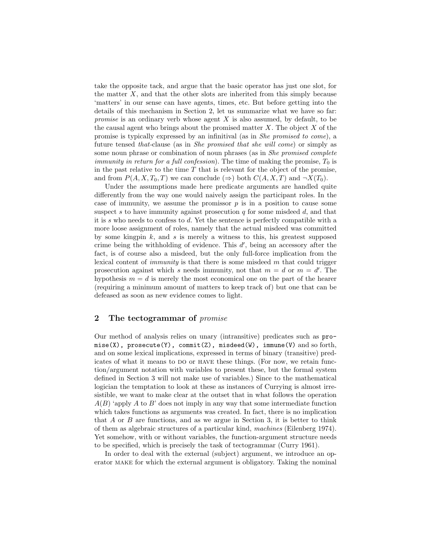take the opposite tack, and argue that the basic operator has just one slot, for the matter  $X$ , and that the other slots are inherited from this simply because 'matters' in our sense can have agents, times, etc. But before getting into the details of this mechanism in Section 2, let us summarize what we have so far: *promise* is an ordinary verb whose agent  $X$  is also assumed, by default, to be the causal agent who brings about the promised matter  $X$ . The object  $X$  of the promise is typically expressed by an infinitival (as in She promised to come), a future tensed that-clause (as in She promised that she will come) or simply as some noun phrase or combination of noun phrases (as in *She promised complete immunity in return for a full confession*). The time of making the promise,  $T_0$  is in the past relative to the time  $T$  that is relevant for the object of the promise, and from  $P(A, X, T_0, T)$  we can conclude  $(\Rightarrow)$  both  $C(A, X, T)$  and  $\neg X(T_0)$ .

Under the assumptions made here predicate arguments are handled quite differently from the way one would naively assign the participant roles. In the case of immunity, we assume the promissor  $p$  is in a position to cause some suspect s to have immunity against prosecution  $q$  for some misdeed  $d$ , and that it is s who needs to confess to d. Yet the sentence is perfectly compatible with a more loose assignment of roles, namely that the actual misdeed was committed by some kingpin  $k$ , and  $s$  is merely a witness to this, his greatest supposed crime being the withholding of evidence. This  $d'$ , being an accessory after the fact, is of course also a misdeed, but the only full-force implication from the lexical content of *immunity* is that there is some misdeed  $m$  that could trigger prosecution against which s needs immunity, not that  $m = d$  or  $m = d'$ . The hypothesis  $m = d$  is merely the most economical one on the part of the hearer (requiring a minimum amount of matters to keep track of) but one that can be defeased as soon as new evidence comes to light.

# 2 The tectogrammar of promise

Our method of analysis relies on unary (intransitive) predicates such as pro $mise(X)$ , prosecute(Y), commit(Z), misdeed(W), immune(V) and so forth, and on some lexical implications, expressed in terms of binary (transitive) predicates of what it means to DO or HAVE these things. (For now, we retain function/argument notation with variables to present these, but the formal system defined in Section 3 will not make use of variables.) Since to the mathematical logician the temptation to look at these as instances of Currying is almost irresistible, we want to make clear at the outset that in what follows the operation  $A(B)$  'apply A to B' does not imply in any way that some intermediate function which takes functions as arguments was created. In fact, there is no implication that  $A$  or  $B$  are functions, and as we argue in Section 3, it is better to think of them as algebraic structures of a particular kind, machines (Eilenberg 1974). Yet somehow, with or without variables, the function-argument structure needs to be specified, which is precisely the task of tectogrammar (Curry 1961).

In order to deal with the external (subject) argument, we introduce an operator make for which the external argument is obligatory. Taking the nominal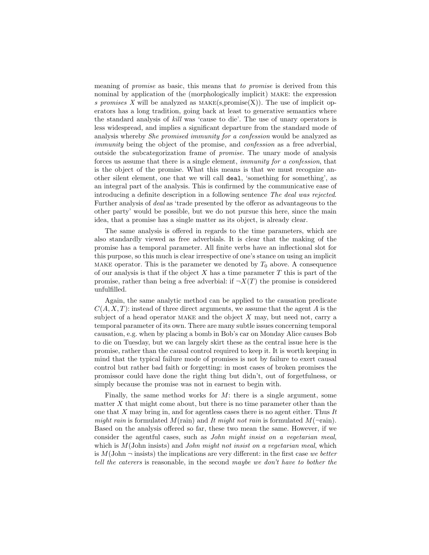meaning of *promise* as basic, this means that to *promise* is derived from this nominal by application of the (morphologically implicit) make: the expression s promises X will be analyzed as  $\text{MAKE}(\text{s},\text{promise}(X))$ . The use of implicit operators has a long tradition, going back at least to generative semantics where the standard analysis of kill was 'cause to die'. The use of unary operators is less widespread, and implies a significant departure from the standard mode of analysis whereby She promised immunity for a confession would be analyzed as immunity being the object of the promise, and confession as a free adverbial, outside the subcategorization frame of promise. The unary mode of analysis forces us assume that there is a single element, immunity for a confession, that is the object of the promise. What this means is that we must recognize another silent element, one that we will call deal, 'something for something', as an integral part of the analysis. This is confirmed by the communicative ease of introducing a definite description in a following sentence The deal was rejected. Further analysis of deal as 'trade presented by the offeror as advantageous to the other party' would be possible, but we do not pursue this here, since the main idea, that a promise has a single matter as its object, is already clear.

The same analysis is offered in regards to the time parameters, which are also standardly viewed as free adverbials. It is clear that the making of the promise has a temporal parameter. All finite verbs have an inflectional slot for this purpose, so this much is clear irrespective of one's stance on using an implicit MAKE operator. This is the parameter we denoted by  $T_0$  above. A consequence of our analysis is that if the object  $X$  has a time parameter  $T$  this is part of the promise, rather than being a free adverbial: if  $\neg X(T)$  the promise is considered unfulfilled.

Again, the same analytic method can be applied to the causation predicate  $C(A, X, T)$ : instead of three direct arguments, we assume that the agent A is the subject of a head operator MAKE and the object  $X$  may, but need not, carry a temporal parameter of its own. There are many subtle issues concerning temporal causation, e.g. when by placing a bomb in Bob's car on Monday Alice causes Bob to die on Tuesday, but we can largely skirt these as the central issue here is the promise, rather than the causal control required to keep it. It is worth keeping in mind that the typical failure mode of promises is not by failure to exert causal control but rather bad faith or forgetting: in most cases of broken promises the promissor could have done the right thing but didn't, out of forgetfulness, or simply because the promise was not in earnest to begin with.

Finally, the same method works for  $M$ : there is a single argument, some matter  $X$  that might come about, but there is no time parameter other than the one that  $X$  may bring in, and for agentless cases there is no agent either. Thus  $It$ might rain is formulated  $M(\text{rain})$  and It might not rain is formulated  $M(\neg \text{rain})$ . Based on the analysis offered so far, these two mean the same. However, if we consider the agentful cases, such as John might insist on a vegetarian meal, which is  $M(\text{John insists})$  and *John might not insist on a vegetarian meal*, which is  $M(\text{John } \neg \text{ insists})$  the implications are very different: in the first case we better tell the caterers is reasonable, in the second maybe we don't have to bother the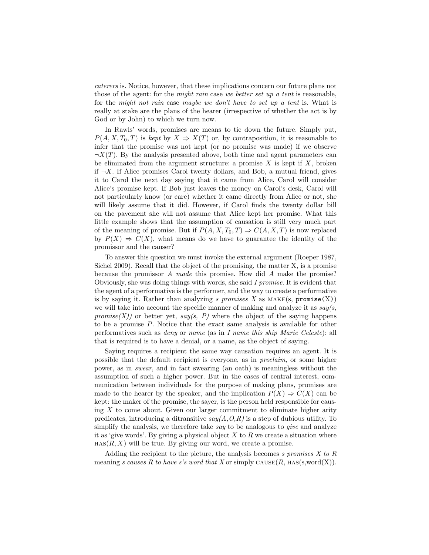caterers is. Notice, however, that these implications concern our future plans not those of the agent: for the *might rain* case we better set up a tent is reasonable, for the might not rain case maybe we don't have to set up a tent is. What is really at stake are the plans of the hearer (irrespective of whether the act is by God or by John) to which we turn now.

In Rawls' words, promises are means to tie down the future. Simply put,  $P(A, X, T_0, T)$  is kept by  $X \Rightarrow X(T)$  or, by contraposition, it is reasonable to infer that the promise was not kept (or no promise was made) if we observe  $\neg X(T)$ . By the analysis presented above, both time and agent parameters can be eliminated from the argument structure: a promise  $X$  is kept if  $X$ , broken if  $\neg X$ . If Alice promises Carol twenty dollars, and Bob, a mutual friend, gives it to Carol the next day saying that it came from Alice, Carol will consider Alice's promise kept. If Bob just leaves the money on Carol's desk, Carol will not particularly know (or care) whether it came directly from Alice or not, she will likely assume that it did. However, if Carol finds the twenty dollar bill on the pavement she will not assume that Alice kept her promise. What this little example shows that the assumption of causation is still very much part of the meaning of promise. But if  $P(A, X, T_0, T) \Rightarrow C(A, X, T)$  is now replaced by  $P(X) \Rightarrow C(X)$ , what means do we have to guarantee the identity of the promissor and the causer?

To answer this question we must invoke the external argument (Roeper 1987, Sichel 2009). Recall that the object of the promising, the matter X, is a promise because the promissor A made this promise. How did A make the promise? Obviously, she was doing things with words, she said I promise. It is evident that the agent of a performative is the performer, and the way to create a performative is by saying it. Rather than analyzing s promises X as  $MAKE(s, \text{ promise}(X))$ we will take into account the specific manner of making and analyze it as  $say(s,$ promise(X)) or better yet, say(s, P) where the object of the saying happens to be a promise P. Notice that the exact same analysis is available for other performatives such as *deny* or *name* (as in I *name this ship Marie Celeste*): all that is required is to have a denial, or a name, as the object of saying.

Saying requires a recipient the same way causation requires an agent. It is possible that the default recipient is everyone, as in proclaim, or some higher power, as in swear, and in fact swearing (an oath) is meaningless without the assumption of such a higher power. But in the cases of central interest, communication between individuals for the purpose of making plans, promises are made to the hearer by the speaker, and the implication  $P(X) \Rightarrow C(X)$  can be kept: the maker of the promise, the sayer, is the person held responsible for causing  $X$  to come about. Given our larger commitment to eliminate higher arity predicates, introducing a ditransitive  $say(A, O, R)$  is a step of dubious utility. To simplify the analysis, we therefore take say to be analogous to give and analyze it as 'give words'. By giving a physical object  $X$  to  $R$  we create a situation where  $HAS(R, X)$  will be true. By giving our word, we create a promise.

Adding the recipient to the picture, the analysis becomes  $s$  promises  $X$  to  $R$ meaning s causes R to have s's word that X or simply  $\text{CAUSE}(R, \text{HAS}(\text{s,word}(\text{X})).$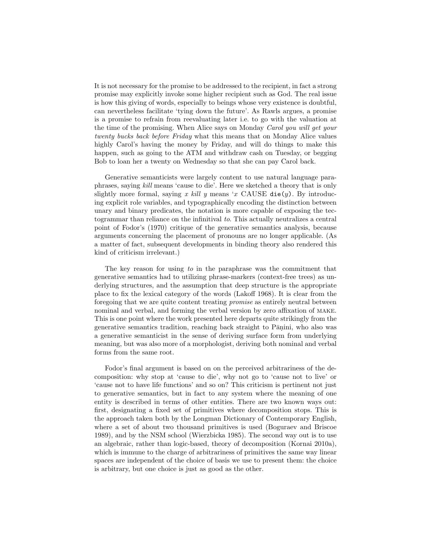It is not necessary for the promise to be addressed to the recipient, in fact a strong promise may explicitly invoke some higher recipient such as God. The real issue is how this giving of words, especially to beings whose very existence is doubtful, can nevertheless facilitate 'tying down the future'. As Rawls argues, a promise is a promise to refrain from reevaluating later i.e. to go with the valuation at the time of the promising. When Alice says on Monday Carol you will get your twenty bucks back before Friday what this means that on Monday Alice values highly Carol's having the money by Friday, and will do things to make this happen, such as going to the ATM and withdraw cash on Tuesday, or begging Bob to loan her a twenty on Wednesday so that she can pay Carol back.

Generative semanticists were largely content to use natural language paraphrases, saying kill means 'cause to die'. Here we sketched a theory that is only slightly more formal, saying x kill y means 'x CAUSE die(y). By introducing explicit role variables, and typographically encoding the distinction between unary and binary predicates, the notation is more capable of exposing the tectogrammar than reliance on the infinitival to. This actually neutralizes a central point of Fodor's (1970) critique of the generative semantics analysis, because arguments concerning the placement of pronouns are no longer applicable. (As a matter of fact, subsequent developments in binding theory also rendered this kind of criticism irrelevant.)

The key reason for using to in the paraphrase was the commitment that generative semantics had to utilizing phrase-markers (context-free trees) as underlying structures, and the assumption that deep structure is the appropriate place to fix the lexical category of the words (Lakoff 1968). It is clear from the foregoing that we are quite content treating promise as entirely neutral between nominal and verbal, and forming the verbal version by zero affixation of make. This is one point where the work presented here departs quite strikingly from the generative semantics tradition, reaching back straight to Pānini, who also was a generative semanticist in the sense of deriving surface form from underlying meaning, but was also more of a morphologist, deriving both nominal and verbal forms from the same root.

Fodor's final argument is based on on the perceived arbitrariness of the decomposition: why stop at 'cause to die', why not go to 'cause not to live' or 'cause not to have life functions' and so on? This criticism is pertinent not just to generative semantics, but in fact to any system where the meaning of one entity is described in terms of other entities. There are two known ways out: first, designating a fixed set of primitives where decomposition stops. This is the approach taken both by the Longman Dictionary of Contemporary English, where a set of about two thousand primitives is used (Boguraev and Briscoe 1989), and by the NSM school (Wierzbicka 1985). The second way out is to use an algebraic, rather than logic-based, theory of decomposition (Kornai 2010a), which is immune to the charge of arbitrariness of primitives the same way linear spaces are independent of the choice of basis we use to present them: the choice is arbitrary, but one choice is just as good as the other.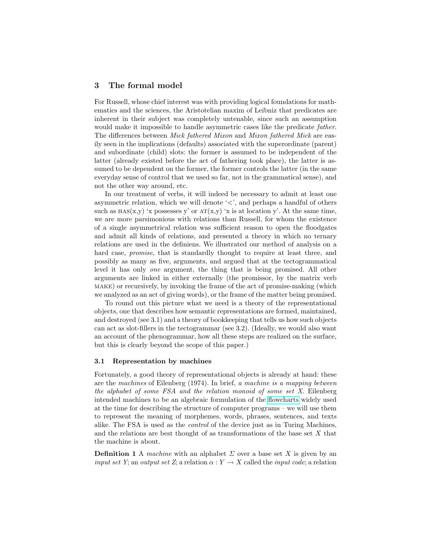# 3 The formal model

For Russell, whose chief interest was with providing logical foundations for mathematics and the sciences, the Aristotelian maxim of Leibniz that predicates are inherent in their subject was completely untenable, since such an assumption would make it impossible to handle asymmetric cases like the predicate *father*. The differences between Mick fathered Mixon and Mixon fathered Mick are easily seen in the implications (defaults) associated with the superordinate (parent) and subordinate (child) slots: the former is assumed to be independent of the latter (already existed before the act of fathering took place), the latter is assumed to be dependent on the former, the former controls the latter (in the same everyday sense of control that we used so far, not in the grammatical sense), and not the other way around, etc.

In our treatment of verbs, it will indeed be necessary to admit at least one asymmetric relation, which we will denote  $\langle \langle \cdot \rangle$ , and perhaps a handful of others such as  $HAS(x,y)$  'x possesses y' or  $AT(x,y)$  'x is at location y'. At the same time, we are more parsimonious with relations than Russell, for whom the existence of a single asymmetrical relation was sufficient reason to open the floodgates and admit all kinds of relations, and presented a theory in which no ternary relations are used in the definiens. We illustrated our method of analysis on a hard case, *promise*, that is standardly thought to require at least three, and possibly as many as five, arguments, and argued that at the tectogrammatical level it has only one argument, the thing that is being promised. All other arguments are linked in either externally (the promissor, by the matrix verb make) or recursively, by invoking the frame of the act of promise-making (which we analyzed as an act of giving words), or the frame of the matter being promised.

To round out this picture what we need is a theory of the representational objects, one that describes how semantic representations are formed, maintained, and destroyed (see 3.1) and a theory of bookkeeping that tells us how such objects can act as slot-fillers in the tectogrammar (see 3.2). (Ideally, we would also want an account of the phenogrammar, how all these steps are realized on the surface, but this is clearly beyond the scope of this paper.)

#### 3.1 Representation by machines

Fortunately, a good theory of representational objects is already at hand: these are the machines of Eilenberg (1974). In brief, a machine is a mapping between the alphabet of some FSA and the relation monoid of some set X. Eilenberg intended machines to be an algebraic formulation of the [flowcharts](http://en.wikipedia.org/wiki/Flowchart) widely used at the time for describing the structure of computer programs – we will use them to represent the meaning of morphemes, words, phrases, sentences, and texts alike. The FSA is used as the control of the device just as in Turing Machines, and the relations are best thought of as transformations of the base set X that the machine is about.

**Definition 1** A machine with an alphabet  $\Sigma$  over a base set X is given by an input set Y; an output set Z; a relation  $\alpha: Y \to X$  called the input code; a relation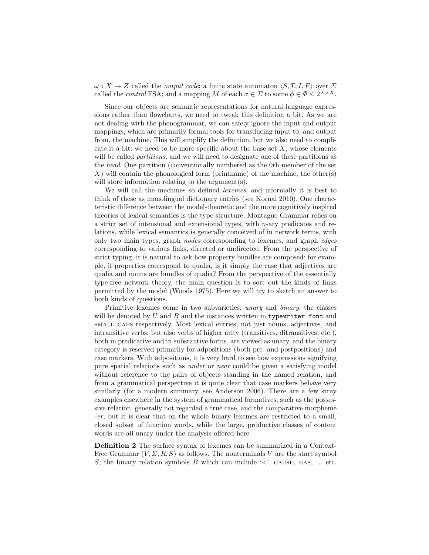$\omega: X \to Z$  called the *output code*; a finite state automaton  $\langle S, T, I, F \rangle$  over  $\Sigma$ called the *control* FSA; and a mapping M of each  $\sigma \in \Sigma$  to some  $\phi \in \Phi \leq 2^{X \times X}$ .

Since our objects are semantic representations for natural language expressions rather than flowcharts, we need to tweak this definition a bit. As we are not dealing with the phenogrammar, we can safely ignore the input and output mappings, which are primarily formal tools for transducing input to, and output from, the machine. This will simplify the definition, but we also need to complicate it a bit: we need to be more specific about the base set  $X$ , whose elements will be called *partitions*, and we will need to designate one of these partitions as the head. One partition (conventionally numbered as the 0th member of the set  $X$ ) will contain the phonological form (printname) of the machine, the other(s) will store information relating to the argument(s).

We will call the machines so defined *lexemes*, and informally it is best to think of these as monolingual dictionary entries (see Kornai 2010). One characteristic difference between the model-theoretic and the more cognitively inspired theories of lexical semantics is the type structure: Montague Grammar relies on a strict set of intensional and extensional types, with n-ary predicates and relations, while lexical semantics is generally conceived of in network terms, with only two main types, graph nodes corresponding to lexemes, and graph edges corresponding to various links, directed or undirected. From the perspective of strict typing, it is natural to ask how property bundles are composed: for example, if properties correspond to qualia, is it simply the case that adjectives are qualia and nouns are bundles of qualia? From the perspective of the essentially type-free network theory, the main question is to sort out the kinds of links permitted by the model (Woods 1975). Here we will try to sketch an answer to both kinds of questions.

Primitive lexemes come in two subvarieties, unary and binary: the classes will be denoted by  $U$  and  $B$  and the instances written in typewriter font and small caps respectively. Most lexical entries, not just nouns, adjectives, and intransitive verbs, but also verbs of higher arity (transitives, ditransitives, etc.), both in predicative and in substantive forms, are viewed as unary, and the binary category is reserved primarily for adpositions (both pre- and postpositions) and case markers. With adpositions, it is very hard to see how expressions signifying pure spatial relations such as under or near could be given a satisfying model without reference to the pairs of objects standing in the named relation, and from a grammatical perspective it is quite clear that case markers behave very similarly (for a modern summary, see Anderson 2006). There are a few stray examples elsewhere in the system of grammatical formatives, such as the possessive relation, generally not regarded a true case, and the comparative morpheme -er, but it is clear that on the whole binary lexemes are restricted to a small, closed subset of function words, while the large, productive classes of content words are all unary under the analysis offered here.

Definition 2 The surface syntax of lexemes can be summarized in a Context-Free Grammar  $(V, \Sigma, R, S)$  as follows. The nonterminals V are the start symbol S; the binary relation symbols B which can include  $\langle \langle \cdot \rangle$ , CAUSE, HAS, ... etc.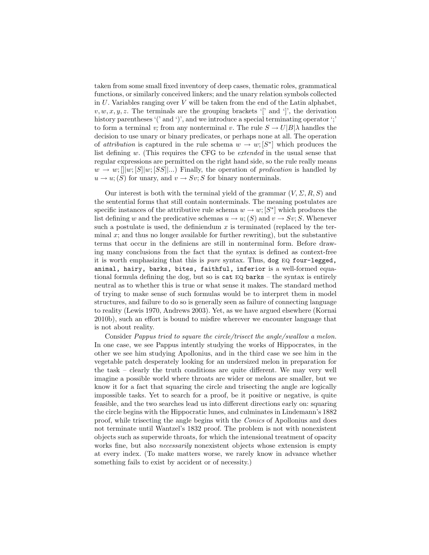taken from some small fixed inventory of deep cases, thematic roles, grammatical functions, or similarly conceived linkers; and the unary relation symbols collected in  $U$ . Variables ranging over  $V$  will be taken from the end of the Latin alphabet,  $v, w, x, y, z$ . The terminals are the grouping brackets '[' and ']', the derivation history parentheses '(' and ')', and we introduce a special terminating operator ';' to form a terminal v; from any nonterminal v. The rule  $S \to U|B|\lambda$  handles the decision to use unary or binary predicates, or perhaps none at all. The operation of *attribution* is captured in the rule schema  $w \to w$ ;  $[S^*]$  which produces the list defining w. (This requires the CFG to be extended in the usual sense that regular expressions are permitted on the right hand side, so the rule really means  $w \to w$ ;  $[||w|$ ;  $[S||w|]$ ;  $[SS]$ ...) Finally, the operation of predication is handled by  $u \to u$ ; (S) for unary, and  $v \to Sv$ ; S for binary nonterminals.

Our interest is both with the terminal yield of the grammar  $(V, \Sigma, R, S)$  and the sentential forms that still contain nonterminals. The meaning postulates are specific instances of the attributive rule schema  $w \to w$ ;  $[S^*]$  which produces the list defining w and the predicative schemas  $u \to u$ ; (S) and  $v \to Sv$ ; S. Whenever such a postulate is used, the definiendum  $x$  is terminated (replaced by the terminal  $x$ ; and thus no longer available for further rewriting), but the substantive terms that occur in the definiens are still in nonterminal form. Before drawing many conclusions from the fact that the syntax is defined as context-free it is worth emphasizing that this is *pure* syntax. Thus,  $\log$  EQ four-legged, animal, hairy, barks, bites, faithful, inferior is a well-formed equational formula defining the dog, but so is cat  $EQ$  barks – the syntax is entirely neutral as to whether this is true or what sense it makes. The standard method of trying to make sense of such formulas would be to interpret them in model structures, and failure to do so is generally seen as failure of connecting language to reality (Lewis 1970, Andrews 2003). Yet, as we have argued elsewhere (Kornai 2010b), such an effort is bound to misfire wherever we encounter language that is not about reality.

Consider Pappus tried to square the circle/trisect the angle/swallow a melon. In one case, we see Pappus intently studying the works of Hippocrates, in the other we see him studying Apollonius, and in the third case we see him in the vegetable patch desperately looking for an undersized melon in preparation for the task – clearly the truth conditions are quite different. We may very well imagine a possible world where throats are wider or melons are smaller, but we know it for a fact that squaring the circle and trisecting the angle are logically impossible tasks. Yet to search for a proof, be it positive or negative, is quite feasible, and the two searches lead us into different directions early on: squaring the circle begins with the Hippocratic lunes, and culminates in Lindemann's 1882 proof, while trisecting the angle begins with the Conics of Apollonius and does not terminate until Wantzel's 1832 proof. The problem is not with nonexistent objects such as superwide throats, for which the intensional treatment of opacity works fine, but also *necessarily* nonexistent objects whose extension is empty at every index. (To make matters worse, we rarely know in advance whether something fails to exist by accident or of necessity.)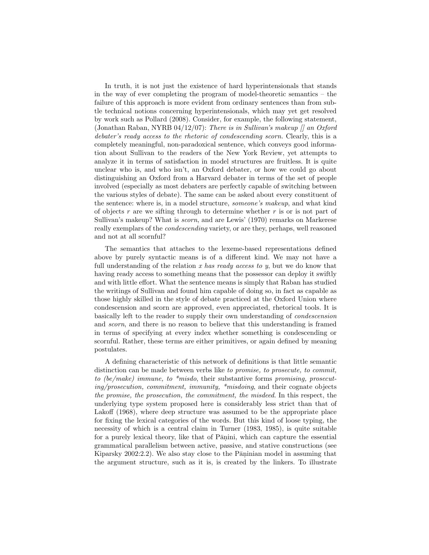In truth, it is not just the existence of hard hyperintensionals that stands in the way of ever completing the program of model-theoretic semantics – the failure of this approach is more evident from ordinary sentences than from subtle technical notions concerning hyperintensionals, which may yet get resolved by work such as Pollard (2008). Consider, for example, the following statement, (Jonathan Raban, NYRB 04/12/07): There is in Sullivan's makeup  $\iint$  an Oxford debater's ready access to the rhetoric of condescending scorn. Clearly, this is a completely meaningful, non-paradoxical sentence, which conveys good information about Sullivan to the readers of the New York Review, yet attempts to analyze it in terms of satisfaction in model structures are fruitless. It is quite unclear who is, and who isn't, an Oxford debater, or how we could go about distinguishing an Oxford from a Harvard debater in terms of the set of people involved (especially as most debaters are perfectly capable of switching between the various styles of debate). The same can be asked about every constituent of the sentence: where is, in a model structure, someone's makeup, and what kind of objects r are we sifting through to determine whether  $r$  is or is not part of Sullivan's makeup? What is scorn, and are Lewis' (1970) remarks on Markerese really exemplars of the condescending variety, or are they, perhaps, well reasoned and not at all scornful?

The semantics that attaches to the lexeme-based representations defined above by purely syntactic means is of a different kind. We may not have a full understanding of the relation  $x$  has ready access to  $y$ , but we do know that having ready access to something means that the possessor can deploy it swiftly and with little effort. What the sentence means is simply that Raban has studied the writings of Sullivan and found him capable of doing so, in fact as capable as those highly skilled in the style of debate practiced at the Oxford Union where condescension and scorn are approved, even appreciated, rhetorical tools. It is basically left to the reader to supply their own understanding of condescension and scorn, and there is no reason to believe that this understanding is framed in terms of specifying at every index whether something is condescending or scornful. Rather, these terms are either primitives, or again defined by meaning postulates.

A defining characteristic of this network of definitions is that little semantic distinction can be made between verbs like to promise, to prosecute, to commit, to (be/make) immune, to  $*$ misdo, their substantive forms promising, prosecuting/prosecution, commitment, immunity, \*misdoing, and their cognate objects the promise, the prosecution, the commitment, the misdeed. In this respect, the underlying type system proposed here is considerably less strict than that of Lakoff (1968), where deep structure was assumed to be the appropriate place for fixing the lexical categories of the words. But this kind of loose typing, the necessity of which is a central claim in Turner (1983, 1985), is quite suitable for a purely lexical theory, like that of Pāṇini, which can capture the essential grammatical parallelism between active, passive, and stative constructions (see Kiparsky 2002:2.2). We also stay close to the Pāṇinian model in assuming that the argument structure, such as it is, is created by the linkers. To illustrate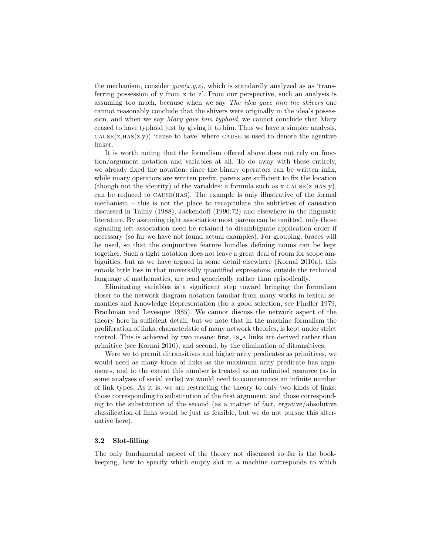the mechanism, consider  $give(x,y,z)$ , which is standardly analyzed as as 'transferring possession of y from x to z'. From our perspective, such an analysis is assuming too much, because when we say The idea gave him the shivers one cannot reasonably conclude that the shivers were originally in the idea's possession, and when we say *Mary gave him typhoid*, we cannot conclude that Mary ceased to have typhoid just by giving it to him. Thus we have a simpler analysis,  $\text{CAUSE}(x,\text{HAS}(z,y))$  'cause to have' where CAUSE is used to denote the agentive linker.

It is worth noting that the formalism offered above does not rely on function/argument notation and variables at all. To do away with these entirely, we already fixed the notation: since the binary operators can be written infix, while unary operators are written prefix, parens are sufficient to fix the location (though not the identity) of the variables: a formula such as  $x \text{ CAUSE}(z \text{ HAS } y)$ , can be reduced to cause(has). The example is only illustrative of the formal mechanism – this is not the place to recapitulate the subtleties of causation discussed in Talmy (1988), Jackendoff (1990:72) and elsewhere in the linguistic literature. By assuming right association most parens can be omitted, only those signaling left association need be retained to disambiguate application order if necessary (so far we have not found actual examples). For grouping, braces will be used, so that the conjunctive feature bundles defining nouns can be kept together. Such a tight notation does not leave a great deal of room for scope ambiguities, but as we have argued in some detail elsewhere (Kornai 2010a), this entails little loss in that universally quantified expressions, outside the technical language of mathematics, are read generically rather than episodically.

Eliminating variables is a significant step toward bringing the formalism closer to the network diagram notation familiar from many works in lexical semantics and Knowledge Representation (for a good selection, see Findler 1979, Brachman and Levesque 1985). We cannot discuss the network aspect of the theory here in sufficient detail, but we note that in the machine formalism the proliferation of links, characteristic of many network theories, is kept under strict control. This is achieved by two means: first, IS\_A links are derived rather than primitive (see Kornai 2010), and second, by the elimination of ditransitives.

Were we to permit ditransitives and higher arity predicates as primitives, we would need as many kinds of links as the maximum arity predicate has arguments, and to the extent this number is treated as an unlimited resource (as in some analyses of serial verbs) we would need to countenance an infinite number of link types. As it is, we are restricting the theory to only two kinds of links: those corresponding to substitution of the first argument, and those corresponding to the substitution of the second (as a matter of fact, ergative/absolutive classification of links would be just as feasible, but we do not pursue this alternative here).

#### 3.2 Slot-filling

The only fundamental aspect of the theory not discussed so far is the bookkeeping, how to specify which empty slot in a machine corresponds to which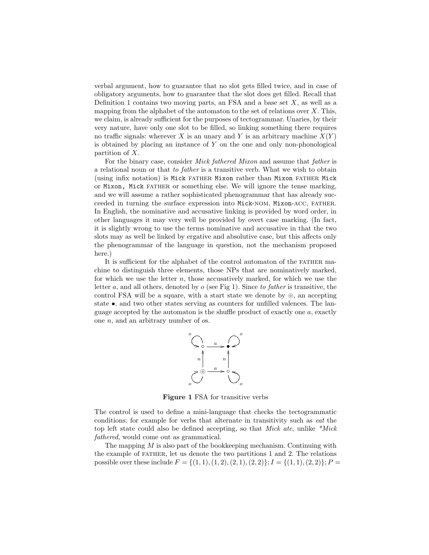verbal argument, how to guarantee that no slot gets filled twice, and in case of obligatory arguments, how to guarantee that the slot does get filled. Recall that Definition 1 contains two moving parts, an FSA and a base set  $X$ , as well as a mapping from the alphabet of the automaton to the set of relations over  $X$ . This, we claim, is already sufficient for the purposes of tectogrammar. Unaries, by their very nature, have only one slot to be filled, so linking something there requires no traffic signals: wherever  $X$  is an unary and  $Y$  is an arbitrary machine  $X(Y)$ is obtained by placing an instance of Y on the one and only non-phonological partition of X.

For the binary case, consider Mick fathered Mixon and assume that father is a relational noun or that to father is a transitive verb. What we wish to obtain (using infix notation) is Mick father Mixon rather than Mixon father Mick or Mixon, Mick father or something else. We will ignore the tense marking, and we will assume a rather sophisticated phenogrammar that has already succeeded in turning the surface expression into Mick-nom, Mixon-acc, father. In English, the nominative and accusative linking is provided by word order, in other languages it may very well be provided by overt case marking. (In fact, it is slightly wrong to use the terms nominative and accusative in that the two slots may as well be linked by ergative and absolutive case, but this affects only the phenogrammar of the language in question, not the mechanism proposed here.)

It is sufficient for the alphabet of the control automaton of the FATHER machine to distinguish three elements, those NPs that are nominatively marked, for which we use the letter n, those accusatively marked, for which we use the letter  $a$ , and all others, denoted by  $o$  (see Fig 1). Since to father is transitive, the control FSA will be a square, with a start state we denote by  $\circledcirc$ , an accepting state •, and two other states serving as counters for unfilled valences. The language accepted by the automaton is the shuffle product of exactly one  $a$ , exactly one  $n$ , and an arbitrary number of  $\alpha$ s.



Figure 1 FSA for transitive verbs

The control is used to define a mini-language that checks the tectogrammatic conditions: for example for verbs that alternate in transitivity such as eat the top left state could also be defined accepting, so that Mick ate, unlike \*Mick fathered, would come out as grammatical.

The mapping M is also part of the bookkeeping mechanism. Continuing with the example of father, let us denote the two partitions 1 and 2. The relations possible over these include  $F = \{(1, 1), (1, 2), (2, 1), (2, 2)\}; I = \{(1, 1), (2, 2)\}; P =$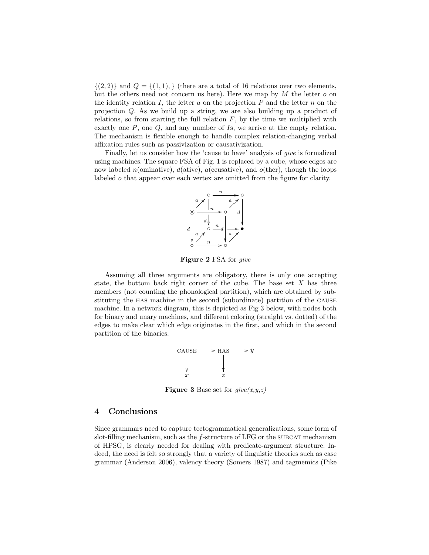$\{(2,2)\}\$ and  $Q = \{(1,1),\}$  (there are a total of 16 relations over two elements, but the others need not concern us here). Here we map by  $M$  the letter  $o$  on the identity relation  $I$ , the letter  $a$  on the projection  $P$  and the letter  $n$  on the projection Q. As we build up a string, we are also building up a product of relations, so from starting the full relation  $F$ , by the time we multiplied with exactly one  $P$ , one  $Q$ , and any number of  $I_s$ , we arrive at the empty relation. The mechanism is flexible enough to handle complex relation-changing verbal affixation rules such as passivization or causativization.

Finally, let us consider how the 'cause to have' analysis of give is formalized using machines. The square FSA of Fig. 1 is replaced by a cube, whose edges are now labeled  $n$ (ominative),  $d$ (ative),  $a$ (ccusative), and  $o$ (ther), though the loops labeled o that appear over each vertex are omitted from the figure for clarity.



Figure 2 FSA for give

Assuming all three arguments are obligatory, there is only one accepting state, the bottom back right corner of the cube. The base set  $X$  has three members (not counting the phonological partition), which are obtained by substituting the has machine in the second (subordinate) partition of the cause machine. In a network diagram, this is depicted as Fig 3 below, with nodes both for binary and unary machines, and different coloring (straight vs. dotted) of the edges to make clear which edge originates in the first, and which in the second partition of the binaries.



**Figure 3** Base set for  $give(x,y,z)$ 

# 4 Conclusions

Since grammars need to capture tectogrammatical generalizations, some form of slot-filling mechanism, such as the  $f$ -structure of LFG or the SUBCAT mechanism of HPSG, is clearly needed for dealing with predicate-argument structure. Indeed, the need is felt so strongly that a variety of linguistic theories such as case grammar (Anderson 2006), valency theory (Somers 1987) and tagmemics (Pike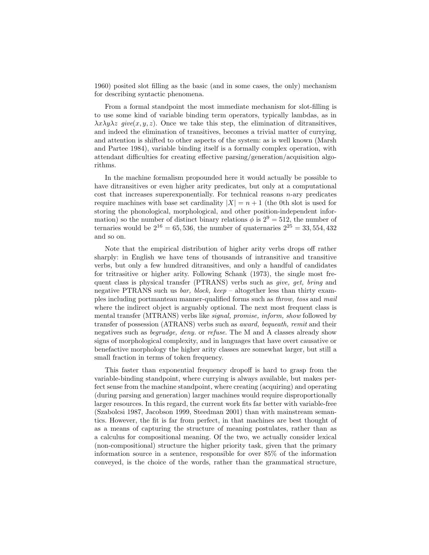1960) posited slot filling as the basic (and in some cases, the only) mechanism for describing syntactic phenomena.

From a formal standpoint the most immediate mechanism for slot-filling is to use some kind of variable binding term operators, typically lambdas, as in  $\lambda x \lambda y \lambda z$  give $(x, y, z)$ . Once we take this step, the elimination of ditransitives, and indeed the elimination of transitives, becomes a trivial matter of currying, and attention is shifted to other aspects of the system: as is well known (Marsh and Partee 1984), variable binding itself is a formally complex operation, with attendant difficulties for creating effective parsing/generation/acquisition algorithms.

In the machine formalism propounded here it would actually be possible to have ditransitives or even higher arity predicates, but only at a computational  $\cot$  that increases superexponentially. For technical reasons *n*-ary predicates require machines with base set cardinality  $|X| = n + 1$  (the 0th slot is used for storing the phonological, morphological, and other position-independent information) so the number of distinct binary relations  $\phi$  is  $2^9 = 512$ , the number of ternaries would be  $2^{16} = 65,536$ , the number of quaternaries  $2^{25} = 33,554,432$ and so on.

Note that the empirical distribution of higher arity verbs drops off rather sharply: in English we have tens of thousands of intransitive and transitive verbs, but only a few hundred ditransitives, and only a handful of candidates for tritrasitive or higher arity. Following Schank (1973), the single most frequent class is physical transfer (PTRANS) verbs such as give, get, bring and negative PTRANS such us *bar, block, keep* – altogether less than thirty examples including portmanteau manner-qualified forms such as throw, toss and mail where the indirect object is arguably optional. The next most frequent class is mental transfer (MTRANS) verbs like signal, promise, inform, show followed by transfer of possession (ATRANS) verbs such as award, bequeath, remit and their negatives such as begrudge, deny. or refuse. The M and A classes already show signs of morphological complexity, and in languages that have overt causative or benefactive morphology the higher arity classes are somewhat larger, but still a small fraction in terms of token frequency.

This faster than exponential frequency dropoff is hard to grasp from the variable-binding standpoint, where currying is always available, but makes perfect sense from the machine standpoint, where creating (acquiring) and operating (during parsing and generation) larger machines would require disproportionally larger resources. In this regard, the current work fits far better with variable-free (Szabolcsi 1987, Jacobson 1999, Steedman 2001) than with mainstream semantics. However, the fit is far from perfect, in that machines are best thought of as a means of capturing the structure of meaning postulates, rather than as a calculus for compositional meaning. Of the two, we actually consider lexical (non-compositional) structure the higher priority task, given that the primary information source in a sentence, responsible for over 85% of the information conveyed, is the choice of the words, rather than the grammatical structure,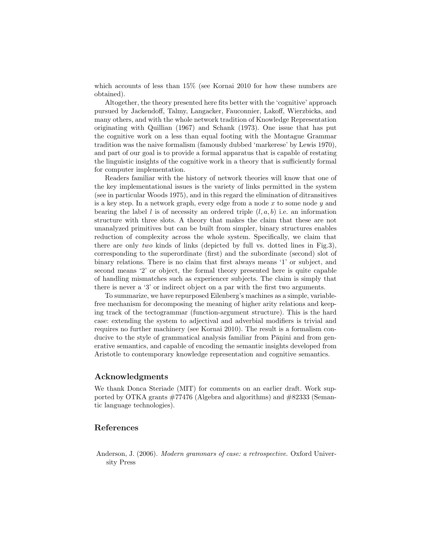which accounts of less than 15% (see Kornai 2010 for how these numbers are obtained).

Altogether, the theory presented here fits better with the 'cognitive' approach pursued by Jackendoff, Talmy, Langacker, Fauconnier, Lakoff, Wierzbicka, and many others, and with the whole network tradition of Knowledge Representation originating with Quillian (1967) and Schank (1973). One issue that has put the cognitive work on a less than equal footing with the Montague Grammar tradition was the naive formalism (famously dubbed 'markerese' by Lewis 1970), and part of our goal is to provide a formal apparatus that is capable of restating the linguistic insights of the cognitive work in a theory that is sufficiently formal for computer implementation.

Readers familiar with the history of network theories will know that one of the key implementational issues is the variety of links permitted in the system (see in particular Woods 1975), and in this regard the elimination of ditransitives is a key step. In a network graph, every edge from a node  $x$  to some node  $y$  and bearing the label l is of necessity an ordered triple  $(l, a, b)$  i.e. an information structure with three slots. A theory that makes the claim that these are not unanalyzed primitives but can be built from simpler, binary structures enables reduction of complexity across the whole system. Specifically, we claim that there are only two kinds of links (depicted by full vs. dotted lines in Fig.3), corresponding to the superordinate (first) and the subordinate (second) slot of binary relations. There is no claim that first always means '1' or subject, and second means '2' or object, the formal theory presented here is quite capable of handling mismatches such as experiencer subjects. The claim is simply that there is never a '3' or indirect object on a par with the first two arguments.

To summarize, we have repurposed Eilenberg's machines as a simple, variablefree mechanism for decomposing the meaning of higher arity relations and keeping track of the tectogrammar (function-argument structure). This is the hard case: extending the system to adjectival and adverbial modifiers is trivial and requires no further machinery (see Kornai 2010). The result is a formalism conducive to the style of grammatical analysis familiar from Pāṇini and from generative semantics, and capable of encoding the semantic insights developed from Aristotle to contemporary knowledge representation and cognitive semantics.

# Acknowledgments

We thank Donca Steriade (MIT) for comments on an earlier draft. Work supported by OTKA grants #77476 (Algebra and algorithms) and #82333 (Semantic language technologies).

# References

Anderson, J. (2006). Modern grammars of case: a retrospective. Oxford University Press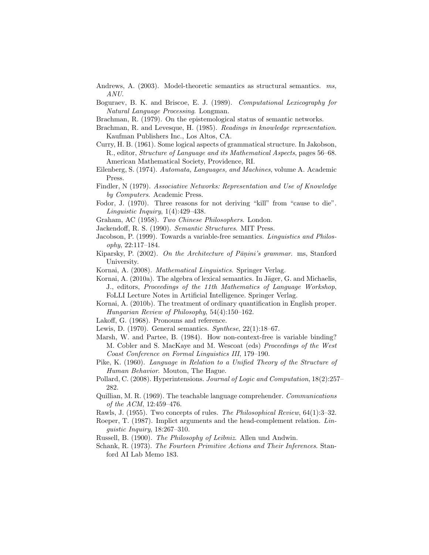- Andrews, A. (2003). Model-theoretic semantics as structural semantics. ms, ANU.
- Boguraev, B. K. and Briscoe, E. J. (1989). Computational Lexicography for Natural Language Processing. Longman.
- Brachman, R. (1979). On the epistemological status of semantic networks.
- Brachman, R. and Levesque, H. (1985). Readings in knowledge representation. Kaufman Publishers Inc., Los Altos, CA.
- Curry, H. B. (1961). Some logical aspects of grammatical structure. In Jakobson, R., editor, Structure of Language and its Mathematical Aspects, pages 56–68. American Mathematical Society, Providence, RI.
- Eilenberg, S. (1974). Automata, Languages, and Machines, volume A. Academic Press.
- Findler, N (1979). Associative Networks: Representation and Use of Knowledge by Computers. Academic Press.
- Fodor, J. (1970). Three reasons for not deriving "kill" from "cause to die". Linguistic Inquiry, 1(4):429–438.
- Graham, AC (1958). Two Chinese Philosophers. London.
- Jackendoff, R. S. (1990). Semantic Structures. MIT Press.
- Jacobson, P. (1999). Towards a variable-free semantics. Linguistics and Philosophy, 22:117–184.
- Kiparsky, P. (2002). On the Architecture of Pāṇini's grammar. ms, Stanford University.
- Kornai, A. (2008). Mathematical Linguistics. Springer Verlag.
- Kornai, A.  $(2010a)$ . The algebra of lexical semantics. In Jäger, G. and Michaelis, J., editors, Proceedings of the 11th Mathematics of Language Workshop, FoLLI Lecture Notes in Artificial Intelligence. Springer Verlag.
- Kornai, A. (2010b). The treatment of ordinary quantification in English proper. Hungarian Review of Philosophy, 54(4):150–162.
- Lakoff, G. (1968). Pronouns and reference.
- Lewis, D. (1970). General semantics. Synthese, 22(1):18–67.
- Marsh, W. and Partee, B. (1984). How non-context-free is variable binding? M. Cobler and S. MacKaye and M. Wescoat (eds) Proceedings of the West Coast Conference on Formal Linguistics III, 179–190.
- Pike, K. (1960). Language in Relation to a Unified Theory of the Structure of Human Behavior. Mouton, The Hague.
- Pollard, C. (2008). Hyperintensions. Journal of Logic and Computation, 18(2):257– 282.
- Quillian, M. R. (1969). The teachable language comprehender. Communications of the ACM, 12:459–476.
- Rawls, J. (1955). Two concepts of rules. The Philosophical Review, 64(1):3–32.
- Roeper, T. (1987). Implict arguments and the head-complement relation. Linguistic Inquiry, 18:267–310.
- Russell, B. (1900). The Philosophy of Leibniz. Allen und Andwin.
- Schank, R. (1973). The Fourteen Primitive Actions and Their Inferences. Stanford AI Lab Memo 183.